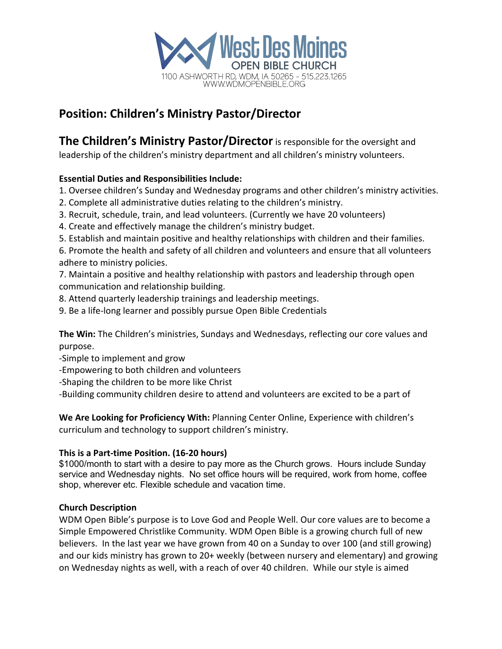

## **Position: Children's Ministry Pastor/Director**

**The Children's Ministry Pastor/Director**is responsible for the oversight and

leadership of the children's ministry department and all children's ministry volunteers.

## **Essential Duties and Responsibilities Include:**

- 1. Oversee children's Sunday and Wednesday programs and other children's ministry activities.
- 2. Complete all administrative duties relating to the children's ministry.
- 3. Recruit, schedule, train, and lead volunteers. (Currently we have 20 volunteers)
- 4. Create and effectively manage the children's ministry budget.
- 5. Establish and maintain positive and healthy relationships with children and their families.

6. Promote the health and safety of all children and volunteers and ensure that all volunteers adhere to ministry policies.

7. Maintain a positive and healthy relationship with pastors and leadership through open communication and relationship building.

- 8. Attend quarterly leadership trainings and leadership meetings.
- 9. Be a life-long learner and possibly pursue Open Bible Credentials

**The Win:** The Children's ministries, Sundays and Wednesdays, reflecting our core values and purpose.

-Simple to implement and grow

- -Empowering to both children and volunteers
- -Shaping the children to be more like Christ

-Building community children desire to attend and volunteers are excited to be a part of

**We Are Looking for Proficiency With:** Planning Center Online, Experience with children's curriculum and technology to support children's ministry.

## **This is a Part-time Position. (16-20 hours)**

\$1000/month to start with a desire to pay more as the Church grows. Hours include Sunday service and Wednesday nights. No set office hours will be required, work from home, coffee shop, wherever etc. Flexible schedule and vacation time.

## **Church Description**

WDM Open Bible's purpose is to Love God and People Well. Our core values are to become a Simple Empowered Christlike Community. WDM Open Bible is a growing church full of new believers. In the last year we have grown from 40 on a Sunday to over 100 (and still growing) and our kids ministry has grown to 20+ weekly (between nursery and elementary) and growing on Wednesday nights as well, with a reach of over 40 children. While our style is aimed